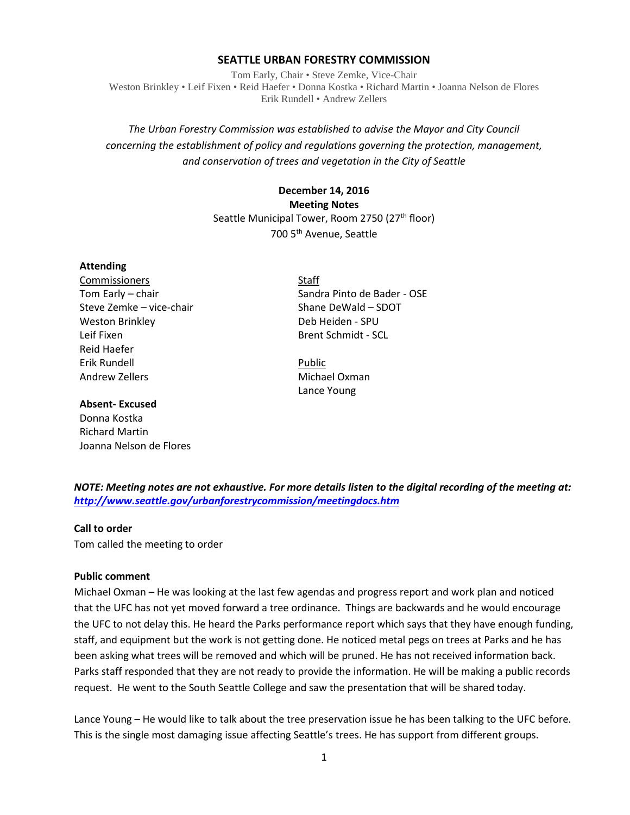### **SEATTLE URBAN FORESTRY COMMISSION**

Tom Early, Chair • Steve Zemke, Vice-Chair Weston Brinkley • Leif Fixen • Reid Haefer • Donna Kostka • Richard Martin • Joanna Nelson de Flores Erik Rundell • Andrew Zellers

# *The Urban Forestry Commission was established to advise the Mayor and City Council concerning the establishment of policy and regulations governing the protection, management, and conservation of trees and vegetation in the City of Seattle*

**December 14, 2016 Meeting Notes** Seattle Municipal Tower, Room 2750 (27<sup>th</sup> floor) 700 5th Avenue, Seattle

#### **Attending**

Commissioners Staff Steve Zemke – vice-chair Shane DeWald – SDOT Weston Brinkley **Deb Heiden - SPU** Leif Fixen **Brent Schmidt** - SCL Reid Haefer Erik Rundell **Public** Public Andrew Zellers **Michael Oxman** 

#### **Absent- Excused**

Donna Kostka Richard Martin Joanna Nelson de Flores

Tom Early – chair Sandra Pinto de Bader - OSE

Lance Young

*NOTE: Meeting notes are not exhaustive. For more details listen to the digital recording of the meeting at: <http://www.seattle.gov/urbanforestrycommission/meetingdocs.htm>*

### **Call to order**

Tom called the meeting to order

### **Public comment**

Michael Oxman – He was looking at the last few agendas and progress report and work plan and noticed that the UFC has not yet moved forward a tree ordinance. Things are backwards and he would encourage the UFC to not delay this. He heard the Parks performance report which says that they have enough funding, staff, and equipment but the work is not getting done. He noticed metal pegs on trees at Parks and he has been asking what trees will be removed and which will be pruned. He has not received information back. Parks staff responded that they are not ready to provide the information. He will be making a public records request. He went to the South Seattle College and saw the presentation that will be shared today.

Lance Young – He would like to talk about the tree preservation issue he has been talking to the UFC before. This is the single most damaging issue affecting Seattle's trees. He has support from different groups.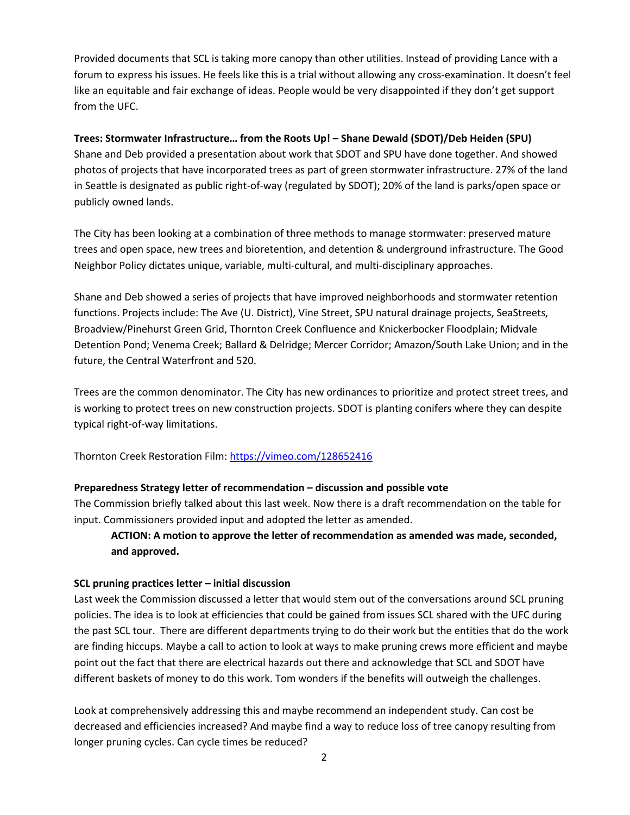Provided documents that SCL is taking more canopy than other utilities. Instead of providing Lance with a forum to express his issues. He feels like this is a trial without allowing any cross-examination. It doesn't feel like an equitable and fair exchange of ideas. People would be very disappointed if they don't get support from the UFC.

## **Trees: Stormwater Infrastructure… from the Roots Up! – Shane Dewald (SDOT)/Deb Heiden (SPU)**

Shane and Deb provided a presentation about work that SDOT and SPU have done together. And showed photos of projects that have incorporated trees as part of green stormwater infrastructure. 27% of the land in Seattle is designated as public right-of-way (regulated by SDOT); 20% of the land is parks/open space or publicly owned lands.

The City has been looking at a combination of three methods to manage stormwater: preserved mature trees and open space, new trees and bioretention, and detention & underground infrastructure. The Good Neighbor Policy dictates unique, variable, multi-cultural, and multi-disciplinary approaches.

Shane and Deb showed a series of projects that have improved neighborhoods and stormwater retention functions. Projects include: The Ave (U. District), Vine Street, SPU natural drainage projects, SeaStreets, Broadview/Pinehurst Green Grid, Thornton Creek Confluence and Knickerbocker Floodplain; Midvale Detention Pond; Venema Creek; Ballard & Delridge; Mercer Corridor; Amazon/South Lake Union; and in the future, the Central Waterfront and 520.

Trees are the common denominator. The City has new ordinances to prioritize and protect street trees, and is working to protect trees on new construction projects. SDOT is planting conifers where they can despite typical right-of-way limitations.

Thornton Creek Restoration Film:<https://vimeo.com/128652416>

## **Preparedness Strategy letter of recommendation – discussion and possible vote**

The Commission briefly talked about this last week. Now there is a draft recommendation on the table for input. Commissioners provided input and adopted the letter as amended.

# **ACTION: A motion to approve the letter of recommendation as amended was made, seconded, and approved.**

## **SCL pruning practices letter – initial discussion**

Last week the Commission discussed a letter that would stem out of the conversations around SCL pruning policies. The idea is to look at efficiencies that could be gained from issues SCL shared with the UFC during the past SCL tour. There are different departments trying to do their work but the entities that do the work are finding hiccups. Maybe a call to action to look at ways to make pruning crews more efficient and maybe point out the fact that there are electrical hazards out there and acknowledge that SCL and SDOT have different baskets of money to do this work. Tom wonders if the benefits will outweigh the challenges.

Look at comprehensively addressing this and maybe recommend an independent study. Can cost be decreased and efficiencies increased? And maybe find a way to reduce loss of tree canopy resulting from longer pruning cycles. Can cycle times be reduced?